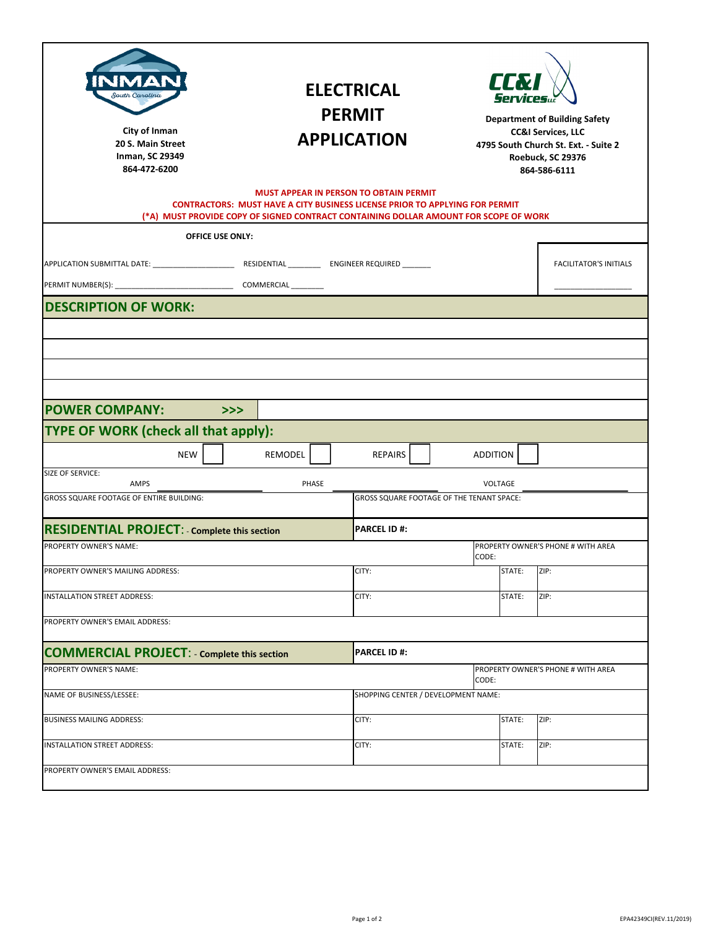| outh Caroline<br>City of Inman<br>20 S. Main Street<br>Inman, SC 29349<br>864-472-6200 | <b>ELECTRICAL</b><br><b>PERMIT</b><br><b>APPLICATION</b>                                                                                                                   |                                               | <b>TEM</b><br><b>Department of Building Safety</b><br><b>CC&amp;I Services, LLC</b><br>4795 South Church St. Ext. - Suite 2<br>Roebuck, SC 29376<br>864-586-6111 |        |                                    |  |  |
|----------------------------------------------------------------------------------------|----------------------------------------------------------------------------------------------------------------------------------------------------------------------------|-----------------------------------------------|------------------------------------------------------------------------------------------------------------------------------------------------------------------|--------|------------------------------------|--|--|
|                                                                                        | <b>CONTRACTORS: MUST HAVE A CITY BUSINESS LICENSE PRIOR TO APPLYING FOR PERMIT</b><br>(*A) MUST PROVIDE COPY OF SIGNED CONTRACT CONTAINING DOLLAR AMOUNT FOR SCOPE OF WORK | <b>MUST APPEAR IN PERSON TO OBTAIN PERMIT</b> |                                                                                                                                                                  |        |                                    |  |  |
| <b>OFFICE USE ONLY:</b>                                                                |                                                                                                                                                                            |                                               |                                                                                                                                                                  |        |                                    |  |  |
|                                                                                        |                                                                                                                                                                            |                                               |                                                                                                                                                                  |        | <b>FACILITATOR'S INITIALS</b>      |  |  |
| <b>DESCRIPTION OF WORK:</b>                                                            |                                                                                                                                                                            |                                               |                                                                                                                                                                  |        |                                    |  |  |
| <b>POWER COMPANY:</b><br>>><br>TYPE OF WORK (check all that apply):<br><b>NEW</b>      | REMODEL                                                                                                                                                                    | <b>REPAIRS</b>                                | <b>ADDITION</b>                                                                                                                                                  |        |                                    |  |  |
| SIZE OF SERVICE:<br>AMPS                                                               | PHASE                                                                                                                                                                      |                                               | VOLTAGE                                                                                                                                                          |        |                                    |  |  |
| GROSS SQUARE FOOTAGE OF ENTIRE BUILDING:                                               | GROSS SQUARE FOOTAGE OF THE TENANT SPACE:                                                                                                                                  |                                               |                                                                                                                                                                  |        |                                    |  |  |
| <b>RESIDENTIAL PROJECT: - Complete this section</b>                                    | <b>PARCEL ID #:</b>                                                                                                                                                        |                                               |                                                                                                                                                                  |        |                                    |  |  |
| PROPERTY OWNER'S NAME:                                                                 |                                                                                                                                                                            |                                               | CODE:                                                                                                                                                            |        | PROPERTY OWNER'S PHONE # WITH AREA |  |  |
| PROPERTY OWNER'S MAILING ADDRESS:                                                      |                                                                                                                                                                            | CITY:                                         |                                                                                                                                                                  | STATE: | ZIP:                               |  |  |
| INSTALLATION STREET ADDRESS:                                                           | CITY:                                                                                                                                                                      |                                               | STATE:                                                                                                                                                           | ZIP:   |                                    |  |  |
| PROPERTY OWNER'S EMAIL ADDRESS:                                                        |                                                                                                                                                                            |                                               |                                                                                                                                                                  |        |                                    |  |  |
| <b>COMMERCIAL PROJECT: - Complete this section</b>                                     | <b>PARCEL ID#:</b>                                                                                                                                                         |                                               |                                                                                                                                                                  |        |                                    |  |  |
| PROPERTY OWNER'S NAME:                                                                 |                                                                                                                                                                            |                                               | CODE:                                                                                                                                                            |        | PROPERTY OWNER'S PHONE # WITH AREA |  |  |
| NAME OF BUSINESS/LESSEE:                                                               |                                                                                                                                                                            |                                               | SHOPPING CENTER / DEVELOPMENT NAME:                                                                                                                              |        |                                    |  |  |
| <b>BUSINESS MAILING ADDRESS:</b>                                                       | CITY:                                                                                                                                                                      |                                               | STATE:                                                                                                                                                           | ZIP:   |                                    |  |  |
| INSTALLATION STREET ADDRESS:                                                           |                                                                                                                                                                            | CITY:                                         |                                                                                                                                                                  | STATE: | ZIP:                               |  |  |
| PROPERTY OWNER'S EMAIL ADDRESS:                                                        |                                                                                                                                                                            |                                               |                                                                                                                                                                  |        |                                    |  |  |